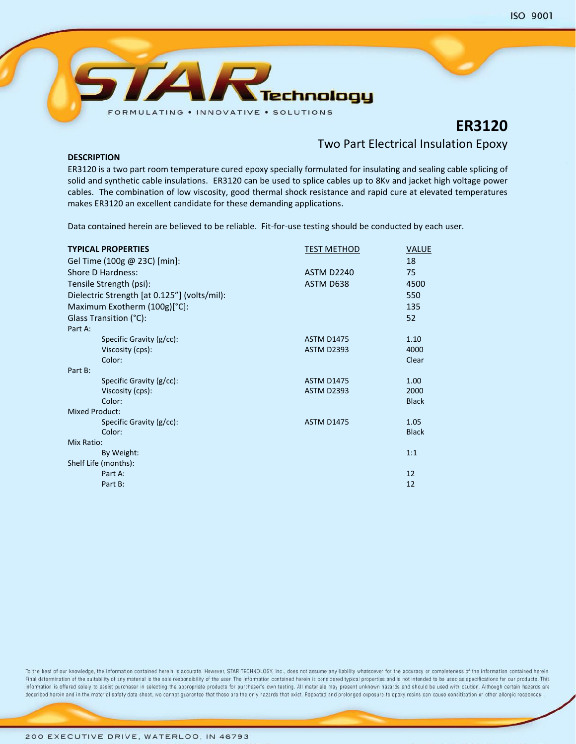

# **ER3120**

## Two Part Electrical Insulation Epoxy

**DESCRIPTION**

ER3120 is a two part room temperature cured epoxy specially formulated for insulating and sealing cable splicing of solid and synthetic cable insulations. ER3120 can be used to splice cables up to 8Kv and jacket high voltage power cables. The combination of low viscosity, good thermal shock resistance and rapid cure at elevated temperatures makes ER3120 an excellent candidate for these demanding applications.

Data contained herein are believed to be reliable. Fit-for-use testing should be conducted by each user.

| <b>TYPICAL PROPERTIES</b><br>Gel Time (100g @ 23C) [min]: | <b>TEST METHOD</b> | <b>VALUE</b><br>18 |
|-----------------------------------------------------------|--------------------|--------------------|
| Shore D Hardness:                                         | <b>ASTM D2240</b>  | 75                 |
| Tensile Strength (psi):                                   | ASTM D638          | 4500               |
| Dielectric Strength [at 0.125"] (volts/mil):              |                    | 550                |
| Maximum Exotherm (100g)[°C]:                              |                    | 135                |
| Glass Transition (°C):                                    |                    | 52                 |
| Part A:                                                   |                    |                    |
| Specific Gravity (g/cc):                                  | <b>ASTM D1475</b>  | 1.10               |
| Viscosity (cps):                                          | <b>ASTM D2393</b>  | 4000               |
| Color:                                                    |                    | Clear              |
| Part B:                                                   |                    |                    |
| Specific Gravity (g/cc):                                  | <b>ASTM D1475</b>  | 1.00               |
| Viscosity (cps):                                          | <b>ASTM D2393</b>  | 2000               |
| Color:                                                    |                    | <b>Black</b>       |
| <b>Mixed Product:</b>                                     |                    |                    |
| Specific Gravity (g/cc):                                  | <b>ASTM D1475</b>  | 1.05               |
| Color:                                                    |                    | <b>Black</b>       |
| Mix Ratio:                                                |                    |                    |
| By Weight:                                                |                    | 1:1                |
| Shelf Life (months):                                      |                    |                    |
| Part A:                                                   |                    | 12                 |
| Part B:                                                   |                    | 12                 |

To the best of our knowledge, the information contained herein is accurate. However, STAR TECHNOLOGY, Inc., does not assume any liability whatsoever for the accuracy or completeness of the information contained herein. Final determination of the suitability of any material is the sole responsibility of the user. The information contained herein is considered typical properties and is not intended to be used as specifications for our prod information is offered solely to assist purchaser in selecting the appropriate products for purchaser's own testing. All materials may present unknown hazards and should be used with caution. Although certain hazards are described herein and in the material safety data sheet, we cannot guarantee that these are the only hazards that exist. Repeated and prolonged exposure to epoxy resins can cause sensitization or other allergic responses.